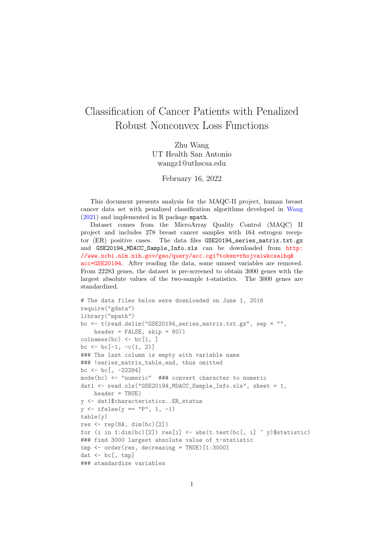## Classification of Cancer Patients with Penalized Robust Nonconvex Loss Functions

Zhu Wang UT Health San Antonio wangz1@uthscsa.edu

February 16, 2022

This document presents analysis for the MAQC-II project, human breast cancer data set with penalized classification algorithms developed in [Wang](#page-5-0) [\(2021\)](#page-5-0) and implemented in R package mpath.

Dataset comes from the MicroArray Quality Control (MAQC) II project and includes 278 breast cancer samples with 164 estrogen receptor (ER) positive cases. The data files GSE20194\_series\_matrix.txt.gz and GSE20194\_MDACC\_Sample\_Info.xls can be downloaded from [http:](http://www.ncbi.nlm.nih.gov/geo/query/acc.cgi?token=rhojvaiwkcsaihq&acc=GSE20194) [//www.ncbi.nlm.nih.gov/geo/query/acc.cgi?token=rhojvaiwkcsaihq&](http://www.ncbi.nlm.nih.gov/geo/query/acc.cgi?token=rhojvaiwkcsaihq&acc=GSE20194) [acc=GSE20194](http://www.ncbi.nlm.nih.gov/geo/query/acc.cgi?token=rhojvaiwkcsaihq&acc=GSE20194). After reading the data, some unused variables are removed. From 22283 genes, the dataset is pre-screened to obtain 3000 genes with the largest absolute values of the two-sample t-statistics. The 3000 genes are standardized.

```
# The data files below were downloaded on June 1, 2016
require("gdata")
library("mpath")
bc <- t(read.delim("GSE20194_series_matrix.txt.gz", sep = "",
    header = FALSE, skip = 80))
\text{columns}(bc) \leftarrow \text{bc}[1, ]bc \le bc [-1, -c(1, 2)]### The last column is empty with variable name
### !series_matrix_table_end, thus omitted
bc \leftarrow bc[, -22284]
mode(bc) <- "numeric" ### convert character to numeric
dat1 <- read.xls("GSE20194_MDACC_Sample_Info.xls", sheet = 1,
   header = TRUE)
y <- dat1$characteristics..ER_status
y \leftarrow ifelse(y == "P", 1, -1)table(y)
res \leq rep(NA, dim(bc)[2])
for (i in 1:dim(bc)[2]) res[i] \leq -abs(t.test(bc[, i] \leq y)\$statistic)
### find 3000 largest absolute value of t-statistic
tmp <- order(res, decreasing = TRUE)[1:3000]
dat \leftarrow bc[, tmp]
### standardize variables
```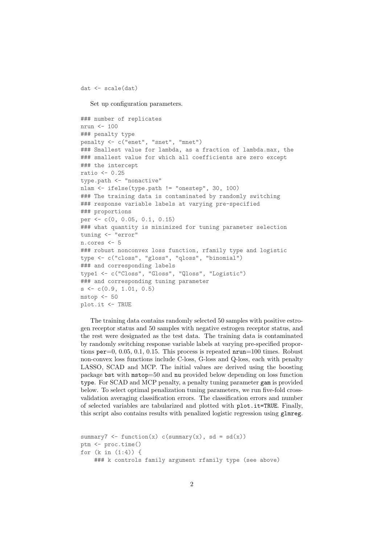dat <- scale(dat)

Set up configuration parameters.

```
### number of replicates
nrun <- 100
### penalty type
penalty <- c("enet", "snet", "mnet")
### Smallest value for lambda, as a fraction of lambda.max, the
### smallest value for which all coefficients are zero except
### the intercept
ratio <- 0.25
type.path <- "nonactive"
nlam <- ifelse(type.path != "onestep", 30, 100)
### The training data is contaminated by randomly switching
### response variable labels at varying pre-specified
### proportions
per <- c(0, 0.05, 0.1, 0.15)
### what quantity is minimized for tuning parameter selection
tuning <- "error"
n.cores <- 5
### robust nonconvex loss function, rfamily type and logistic
type <- c("closs", "gloss", "qloss", "binomial")
### and corresponding labels
type1 <- c("Closs", "Gloss", "Qloss", "Logistic")
### and corresponding tuning parameter
s <- c(0.9, 1.01, 0.5)
mstop \leftarrow 50plot.it <- TRUE
```
The training data contains randomly selected 50 samples with positive estrogen receptor status and 50 samples with negative estrogen receptor status, and the rest were designated as the test data. The training data is contaminated by randomly switching response variable labels at varying pre-specified proportions  $per=0$ , 0.05, 0.1, 0.15. This process is repeated  $nrun=100$  times. Robust non-convex loss functions include C-loss, G-loss and Q-loss, each with penalty LASSO, SCAD and MCP. The initial values are derived using the boosting package bst with mstop=50 and nu provided below depending on loss function type. For SCAD and MCP penalty, a penalty tuning parameter gam is provided below. To select optimal penalization tuning parameters, we run five-fold crossvalidation averaging classification errors. The classification errors and number of selected variables are tabularized and plotted with plot.it=TRUE. Finally, this script also contains results with penalized logistic regression using glmreg.

```
summary7 \leq function(x) c(summary(x), sd = sd(x))
ptm <- proc.time()
for (k in (1:4)) {
    ### k controls family argument rfamily type (see above)
```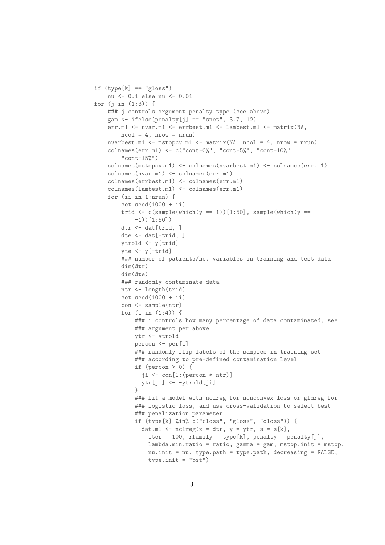```
if (type[k] == "gloss")nu <- 0.1 else nu <- 0.01
for (j in (1:3)) {
   ### j controls argument penalty type (see above)
    gam \le ifelse(penalty[j] == "snet", 3.7, 12)
    err.m1 <- nvar.m1 <- errbest.m1 <- lambest.m1 <- matrix(NA,
        ncol = 4, nrow = nrun)
   nvarbest.m1 \leq mstopcv.m1 \leq matrix(NA, ncol = 4, nrow = nrun)
    colnames(err.m1) <- c("cont-0%", "cont-5%", "cont-10%",
        "cont-15\"
    colnames(mstopcv.m1) <- colnames(nvarbest.m1) <- colnames(err.m1)
    colnames(nvar.m1) <- colnames(err.m1)
    colnames(errbest.m1) <- colnames(err.m1)
    colnames(lambest.m1) <- colnames(err.m1)
   for (ii in 1:nrun) {
        set.seed(1000 + ii)trid \leq c(sample(which(y == 1))[1:50], sample(which(y ==
            -1))[1:50])
        dtr <- dat[trid, ]
        dte <- dat[-trid, ]
        ytrold <- y[trid]
        yte <- y[-trid]
        ### number of patients/no. variables in training and test data
        dim(dtr)
        dim(dte)
        ### randomly contaminate data
        ntr <- length(trid)
        set.seed(1000 + ii)
        con <- sample(ntr)
        for (i in (1:4)) {
            ### i controls how many percentage of data contaminated, see
            ### argument per above
            ytr <- ytrold
            percon <- per[i]
            ### randomly flip labels of the samples in training set
            ### according to pre-defined contamination level
            if (percon > 0) {
              ji <- con[1:(percon * ntr)]
             ytr[ji] <- -ytrold[ji]
            }
            ### fit a model with nclreg for nonconvex loss or glmreg for
            ### logistic loss, and use cross-validation to select best
            ### penalization parameter
            if (type[k] %in% c("closs", "gloss", "qloss")) {
              dat.m1 <- nclreg(x = dtr, y = ytr, s = s[k],iter = 100, rfamily = type[k], penalty = penalty[j],
                lambda.min.ratio = ratio, gamma = gam, mstop.init = mstop,
                nu.init = nu, type.path = type.path, decreasing = FALSE,
                type.init = "bst")
```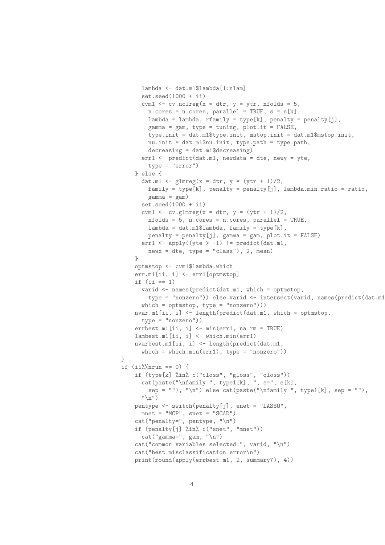```
lambda <- dat.m1$lambda[1:nlam]
      set.seed(1000 + ii)cvm1 \le cv.nclreg(x = dtr, y = ytr, nfolds = 5,
        n.\text{cores} = n.\text{cores}, \text{parallel} = \text{TRUE}, \text{ s} = \text{s}[\text{k}],lambda = lambda, rfamily = type[k], penalty = penalty[j],
        gamma = gamma = gam, type = tuning, plot.it = FALSE,
        type.init = dat.m1$type.init, mstop.init = dat.m1$mstop.init,
        nu.init = dat.m1$nu.init, type.path = type.path,
        decreasing = dat.m1$decreasing)
      err1 <- predict(dat.m1, newdata = dte, newy = yte,
        type = "error")
    } else {
      dat.m1 <- glmreg(x = dtr, y = (ytr + 1)/2,
        family = type[k], penalty = penalty[j], lambda.min.ratio = ratio,
        gamma = gam)set.seed(1000 + ii)cvm1 \leftarrow cv.glmreg(x = dtr, y = (ytr + 1)/2,
        nfolds = 5, n.cores = n.cores, parallel = TRUE,
        lambda = dat.m1$1ambda, family = type[k],penalty = penalty[j], gamma = gam, plot.it = FALSE)err1 <- apply((yte > -1) != predict(dat.m1,
        newx = dte, type = "class"), 2, mean)}
    optmstop <- cvm1$lambda.which
    err.m1[ii, i] <- err1[optmstop]
    if (ii == 1)varid <- names(predict(dat.m1, which = optmstop,
        type = "nonzero")) else varid <- intersect(varid, names(predict(dat.m1,
      which = optmstop, type = "nonzero")))
    nvar.m1[ii, i] <- length(predict(dat.m1, which = optmstop,
      type = "nonzero"))
    errbest.m1[ii, i] <- min(err1, na.rm = TRUE)
    lambest.m1[ii, i] <- which.min(err1)
    nvarbest.m1[ii, i] <- length(predict(dat.m1,
      which = which.min(err1), type = "nonzero"))
\mathcal{L}if (ii)\%nrun == 0) {
    if (type[k] %in% c("closs", "gloss", "qloss"))
      cat(paste("\ref{m}', type1[k], ", s=", s[k],sep = ""), "\n") else cat(paste("\nfamily ", type1[k], sep = ""),
      ''\n\langle n" \ranglepentype <- switch(penalty[j], enet = "LASSO",
      mnet = "MCP", snet = "SCAD")
    cat("penalty=", pentype, "\n")
    if (penalty[j] %in% c("snet", "mnet"))
      cat("gamma=", gam, "\\n")cat("common variables selected:", varid, "\n")
    cat("best misclassification error\n")
    print(round(apply(errbest.m1, 2, summary7), 4))
```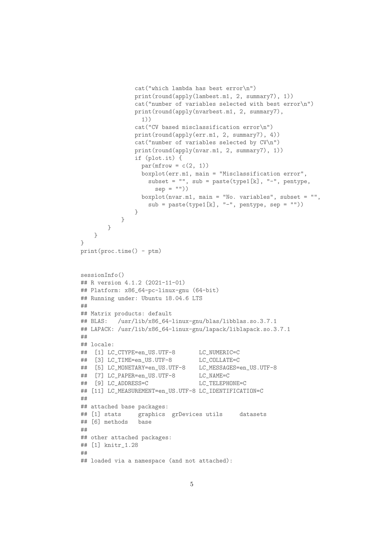```
cat("which lambda has best error\n")
               print(round(apply(lambest.m1, 2, summary7), 1))
               cat("number of variables selected with best error\n")
               print(round(apply(nvarbest.m1, 2, summary7),
                 1))
               cat("CV based misclassification error\n")
               print(round(apply(err.m1, 2, summary7), 4))
               cat("number of variables selected by CV\n")
               print(round(apply(nvar.m1, 2, summary7), 1))
               if (plot.it) {
                 par(mfrow = c(2, 1))boxplot(err.m1, main = "Misclassification error",
                   subset = ", sub = paste(type1[k], "-", pentype,
                     sep = "")boxplot(nvar.m1, main = "No. variables", subset = "",
                   sub = paste(type1[k], "-", pentype, sep = ""))}
           }
       }
   }
\lambdaprint(proc.time() - ptm)
sessionInfo()
## R version 4.1.2 (2021-11-01)
## Platform: x86_64-pc-linux-gnu (64-bit)
## Running under: Ubuntu 18.04.6 LTS
##
## Matrix products: default
## BLAS: /usr/lib/x86_64-linux-gnu/blas/libblas.so.3.7.1
## LAPACK: /usr/lib/x86_64-linux-gnu/lapack/liblapack.so.3.7.1
##
## locale:
## [1] LC_CTYPE=en_US.UTF-8 LC_NUMERIC=C
## [3] LC_TIME=en_US.UTF-8 LC_COLLATE=C
## [5] LC_MONETARY=en_US.UTF-8 LC_MESSAGES=en_US.UTF-8
## [7] LC_PAPER=en_US.UTF-8 LC_NAME=C
## [9] LC_ADDRESS=C LC_TELEPHONE=C
## [11] LC_MEASUREMENT=en_US.UTF-8 LC_IDENTIFICATION=C
##
## attached base packages:
## [1] stats graphics grDevices utils datasets
## [6] methods base
##
## other attached packages:
## [1] knitr_1.28
##
## loaded via a namespace (and not attached):
```